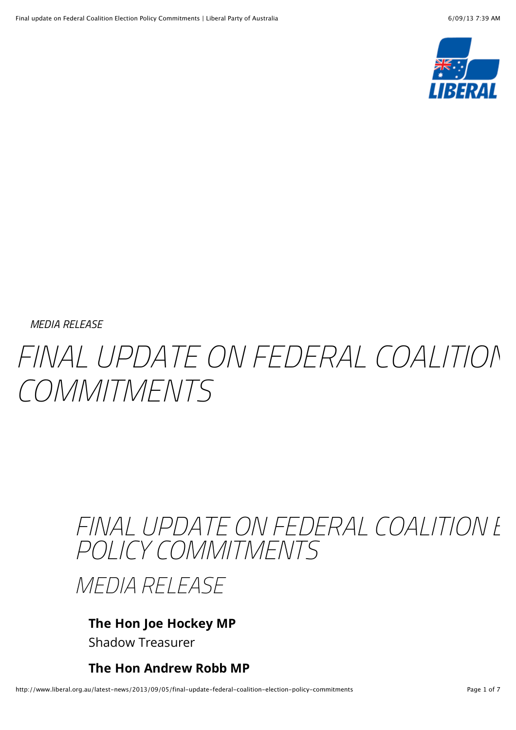

*[MEDIA RELEASE](http://www.liberal.org.au/category/media-release)*

# FINAL UPDATE ON FEDERAL COALITION *COMMITMENTS*

# FINAL UPDATE ON FEDERAL COALITION **E** *POLICY COMMITMENTS*

*MEDIA RELEASE*

## **The Hon Joe Hockey MP** Shadow Treasurer

**The Hon Andrew Robb MP**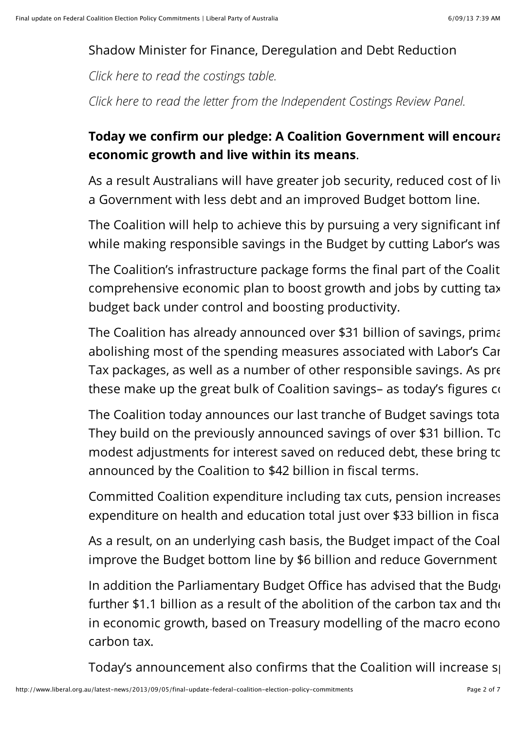# Shadow Minister for Finance, Deregulation and Debt Reduction

*[Click here to read the costings table.](http://lpaweb-static.s3.amazonaws.com/2013%2009%2005%20TABLE.pdf)*

*[Click here to read the letter from the Independent Costings Review Panel.](http://lpaweb-static.s3.amazonaws.com/Letter%20from%20Panel.pdf)*

# **Today we confirm our pledge: A Coalition Government will encourally economic growth and live within its means**.

As a result Australians will have greater job security, reduced cost of living pressures and a Government with less debt and an improved Budget bottom line.

The Coalition will help to achieve this by pursuing a very significant inf while making responsible savings in the Budget by cutting Labor's waster.

The Coalition's infrastructure package forms the final part of the Coalit comprehensive economic plan to boost growth and jobs by cutting tax budget back under control and boosting productivity.

The Coalition has already announced over \$31 billion of savings, primarabolishing most of the spending measures associated with Labor's Car Tax packages, as well as a number of other responsible savings. As pre these make up the great bulk of Coalition savings- as today's figures  $\alpha$ 

The Coalition today announces our last tranche of Budget savings totalling They build on the previously announced savings of over \$31 billion. To modest adjustments for interest saved on reduced debt, these bring to announced by the Coalition to \$42 billion in fiscal terms.

Committed Coalition expenditure including tax cuts, pension increases expenditure on health and education total just over \$33 billion in fiscal

As a result, on an underlying cash basis, the Budget impact of the Coal improve the Budget bottom line by \$6 billion and reduce Government

In addition the Parliamentary Budget Office has advised that the Budget further \$1.1 billion as a result of the abolition of the carbon tax and the in economic growth, based on Treasury modelling of the macro economic growth, based on Treasury modelling of the carbon tax.

Today's announcement also confirms that the Coalition will increase so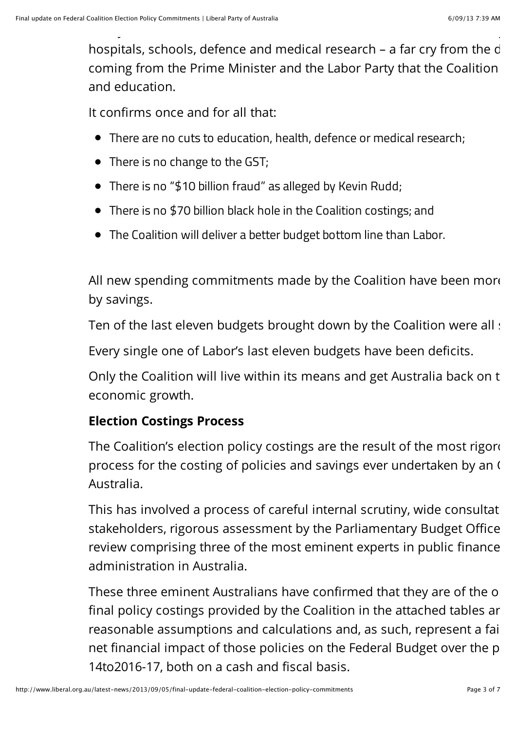hospitals, schools, defence and medical research - a far cry from the d coming from the Prime Minister and the Labor Party that the Coalition and education.

Today's announcement also confirms that the Coalition will increase spending on  $\mathcal{C}$ 

It confirms once and for all that:

- There are no cuts to education, health, defence or medical research;
- There is no change to the GST;
- There is no "\$10 billion fraud" as alleged by Kevin Rudd;
- There is no \$70 billion black hole in the Coalition costings; and
- The Coalition will deliver a better budget bottom line than Labor.

All new spending commitments made by the Coalition have been more by savings.

Ten of the last eleven budgets brought down by the Coalition were all :

Every single one of Labor's last eleven budgets have been deficits.

Only the Coalition will live within its means and get Australia back on the path of strong economic growth.

# **Election Costings Process**

The Coalition's election policy costings are the result of the most rigorous process for the costing of policies and savings ever undertaken by an  $\mathfrak l$ Australia.

This has involved a process of careful internal scrutiny, wide consultat stakeholders, rigorous assessment by the Parliamentary Budget Office review comprising three of the most eminent experts in public finance administration in Australia.

These three eminent Australians have confirmed that they are of the o final policy costings provided by the Coalition in the attached tables are reasonable assumptions and calculations and, as such, represent a fair net financial impact of those policies on the Federal Budget over the p 14to2016-17, both on a cash and fiscal basis.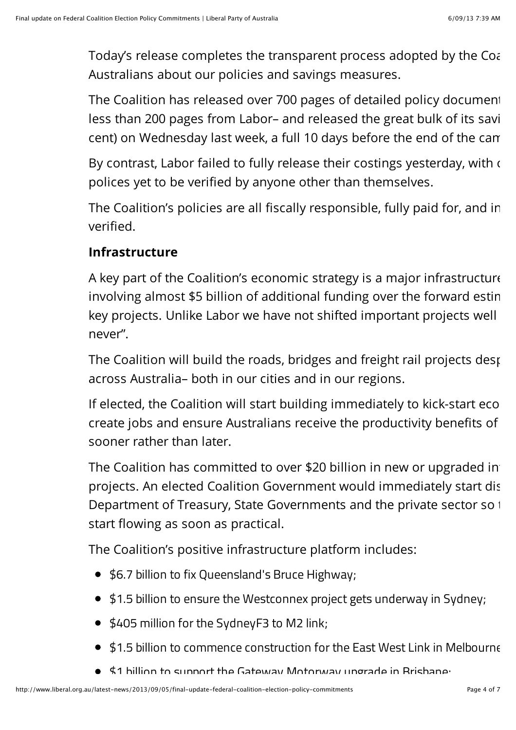Today's release completes the transparent process adopted by the Coal Australians about our policies and savings measures.

The Coalition has released over 700 pages of detailed policy document less than 200 pages from Labor– and released the great bulk of its savi cent) on Wednesday last week, a full 10 days before the end of the can

By contrast, Labor failed to fully release their costings yesterday, with  $\epsilon$ polices yet to be verified by anyone other than themselves.

The Coalition's policies are all fiscally responsible, fully paid for, and in verified.

#### **Infrastructure**

A key part of the Coalition's economic strategy is a major infrastructure involving almost \$5 billion of additional funding over the forward estin key projects. Unlike Labor we have not shifted important projects well never".

The Coalition will build the roads, bridges and freight rail projects desperately across Australia– both in our cities and in our regions.

If elected, the Coalition will start building immediately to kick-start economic growth. create jobs and ensure Australians receive the productivity benefits of sooner rather than later.

The Coalition has committed to over \$20 billion in new or upgraded in projects. An elected Coalition Government would immediately start dis Department of Treasury, State Governments and the private sector so the money can start flowing as soon as practical.

The Coalition's positive infrastructure platform includes:

- \$6.7 billion to fix Queensland's Bruce Highway;
- \$1.5 billion to ensure the Westconnex project gets underway in Sydney;
- \$405 million for the SydneyF3 to M2 link;
- \$1.5 billion to commence construction for the East West Link in Melbourne;
- $\bullet$   $\sharp$ 1 billion to support the Gateway Motorway upgrade in Brishane;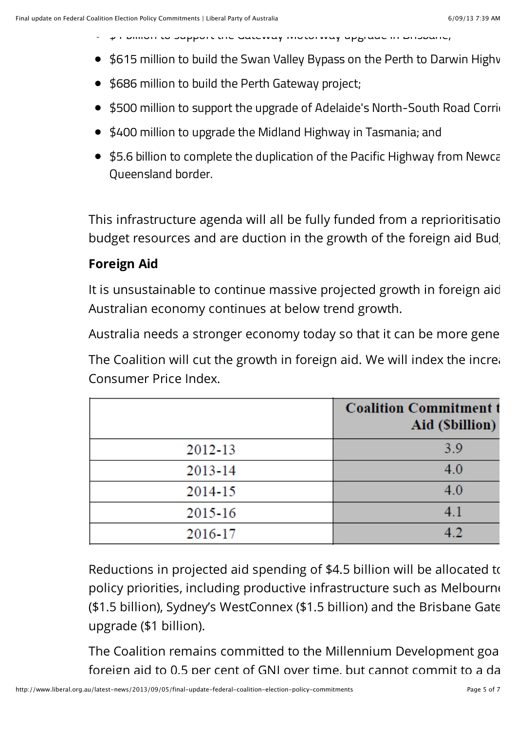- $\sim$   $\mu$  r billion to support the Gateway Motorway upgrade in Brisbane;
- \$615 million to build the Swan Valley Bypass on the Perth to Darwin Highv
- \$686 million to build the Perth Gateway project;
- \$500 million to support the upgrade of Adelaide's North-South Road Corridors
- \$400 million to upgrade the Midland Highway in Tasmania; and
- \$5.6 billion to complete the duplication of the Pacific Highway from Newca Queensland border.

This infrastructure agenda will all be fully funded from a reprioritisatio budget resources and are duction in the growth of the foreign aid Bud

#### **Foreign Aid**

It is unsustainable to continue massive projected growth in foreign aid Australian economy continues at below trend growth.

Australia needs a stronger economy today so that it can be more general

The Coalition will cut the growth in foreign aid. We will index the increas Consumer Price Index.

|         | <b>Coalition Commitment t</b><br>Aid (Sbillion) |
|---------|-------------------------------------------------|
| 2012-13 | 3.9                                             |
| 2013-14 | 4.0                                             |
| 2014-15 | 4.0                                             |
| 2015-16 | 4.1                                             |
| 2016-17 | 4.2                                             |

Reductions in projected aid spending of \$4.5 billion will be allocated to policy priorities, including productive infrastructure such as Melbourne (\$1.5 billion), Sydney's WestConnex (\$1.5 billion) and the Brisbane Gate upgrade (\$1 billion).

The Coalition remains committed to the Millennium Development goal foreign aid to 0.5 per cent of GNI over time, but cannot commit to a date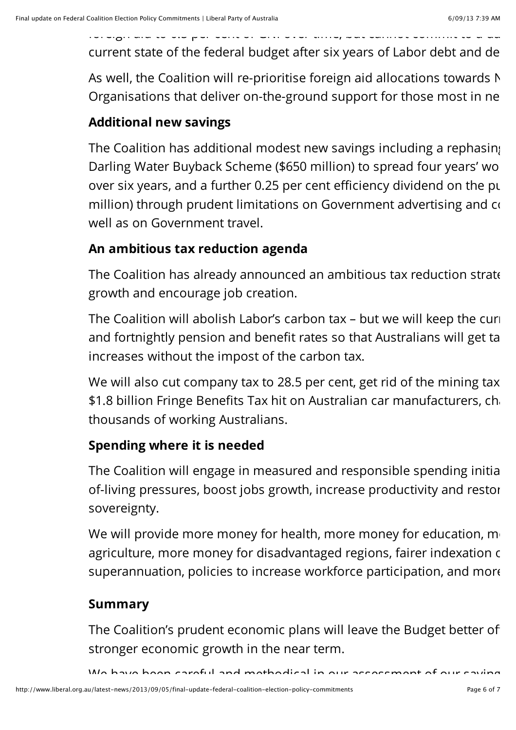current state of the federal budget after six years of Labor debt and de

As well, the Coalition will re-prioritise foreign aid allocations towards  $N$ Organisations that deliver on-the-ground support for those most in ne

#### **Additional new savings**

The Coalition has additional modest new savings including a rephasing Darling Water Buyback Scheme (\$650 million) to spread four years' wo over six years, and a further 0.25 per cent efficiency dividend on the pu million) through prudent limitations on Government advertising and  $\alpha$ well as on Government travel.

#### **An ambitious tax reduction agenda**

foreign aid to 0.5 per cent of GNI over time, but cannot commit to a date given the

The Coalition has already announced an ambitious tax reduction strate growth and encourage job creation.

The Coalition will abolish Labor's carbon tax  $-$  but we will keep the curiand fortnightly pension and benefit rates so that Australians will get ta increases without the impost of the carbon tax.

We will also cut company tax to 28.5 per cent, get rid of the mining tax \$1.8 billion Fringe Benefits Tax hit on Australian car manufacturers, charathousands of working Australians.

#### **Spending where it is needed**

The Coalition will engage in measured and responsible spending initiatives to ease contof-living pressures, boost jobs growth, increase productivity and restor sovereignty.

We will provide more money for health, more money for education,  $m<sub>1</sub>$ agriculture, more money for disadvantaged regions, fairer indexation of superannuation, policies to increase workforce participation, and more

### **Summary**

The Coalition's prudent economic plans will leave the Budget better of stronger economic growth in the near term.

We have been careful and methodical in our assessment of our saving